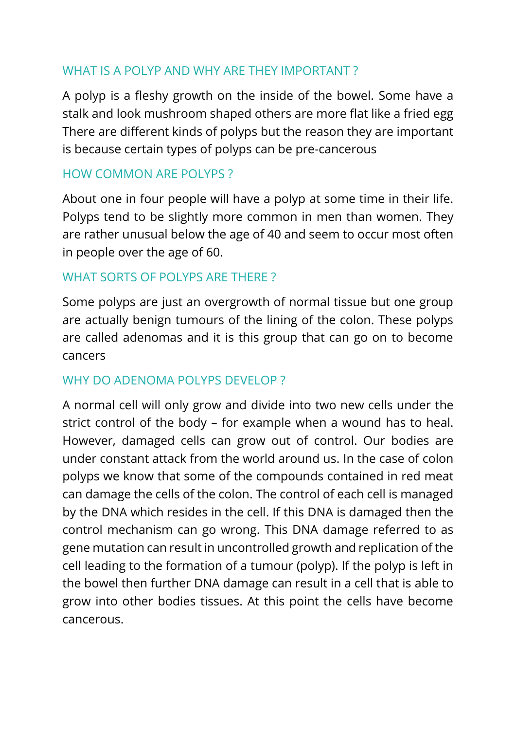## WHAT IS A POLYP AND WHY ARE THEY IMPORTANT ?

A polyp is a fleshy growth on the inside of the bowel. Some have a stalk and look mushroom shaped others are more flat like a fried egg There are different kinds of polyps but the reason they are important is because certain types of polyps can be pre-cancerous

## HOW COMMON ARE POLYPS ?

About one in four people will have a polyp at some time in their life. Polyps tend to be slightly more common in men than women. They are rather unusual below the age of 40 and seem to occur most often in people over the age of 60.

#### WHAT SORTS OF POLYPS ARE THERE ?

Some polyps are just an overgrowth of normal tissue but one group are actually benign tumours of the lining of the colon. These polyps are called adenomas and it is this group that can go on to become cancers

#### WHY DO ADENOMA POLYPS DEVELOP ?

A normal cell will only grow and divide into two new cells under the strict control of the body – for example when a wound has to heal. However, damaged cells can grow out of control. Our bodies are under constant attack from the world around us. In the case of colon polyps we know that some of the compounds contained in red meat can damage the cells of the colon. The control of each cell is managed by the DNA which resides in the cell. If this DNA is damaged then the control mechanism can go wrong. This DNA damage referred to as gene mutation can result in uncontrolled growth and replication of the cell leading to the formation of a tumour (polyp). If the polyp is left in the bowel then further DNA damage can result in a cell that is able to grow into other bodies tissues. At this point the cells have become cancerous.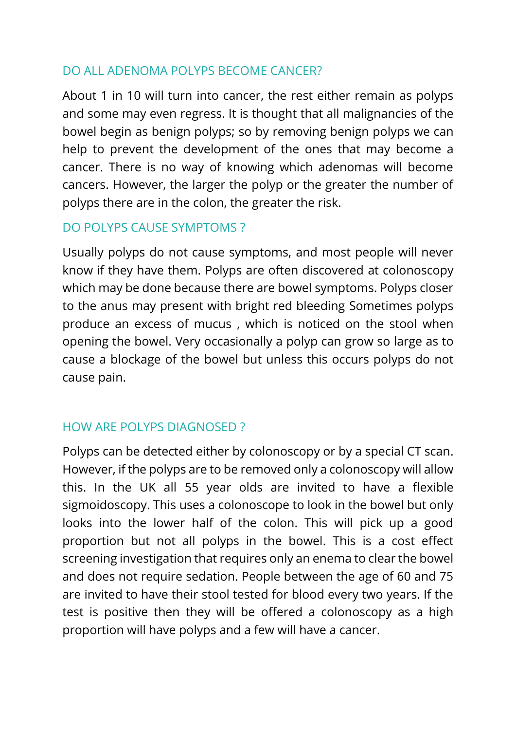### DO ALL ADENOMA POLYPS BECOME CANCER?

About 1 in 10 will turn into cancer, the rest either remain as polyps and some may even regress. It is thought that all malignancies of the bowel begin as benign polyps; so by removing benign polyps we can help to prevent the development of the ones that may become a cancer. There is no way of knowing which adenomas will become cancers. However, the larger the polyp or the greater the number of polyps there are in the colon, the greater the risk.

#### DO POLYPS CAUSE SYMPTOMS ?

Usually polyps do not cause symptoms, and most people will never know if they have them. Polyps are often discovered at colonoscopy which may be done because there are bowel symptoms. Polyps closer to the anus may present with bright red bleeding Sometimes polyps produce an excess of mucus , which is noticed on the stool when opening the bowel. Very occasionally a polyp can grow so large as to cause a blockage of the bowel but unless this occurs polyps do not cause pain.

#### HOW ARE POLYPS DIAGNOSED ?

Polyps can be detected either by colonoscopy or by a special CT scan. However, if the polyps are to be removed only a colonoscopy will allow this. In the UK all 55 year olds are invited to have a flexible sigmoidoscopy. This uses a colonoscope to look in the bowel but only looks into the lower half of the colon. This will pick up a good proportion but not all polyps in the bowel. This is a cost effect screening investigation that requires only an enema to clear the bowel and does not require sedation. People between the age of 60 and 75 are invited to have their stool tested for blood every two years. If the test is positive then they will be offered a colonoscopy as a high proportion will have polyps and a few will have a cancer.